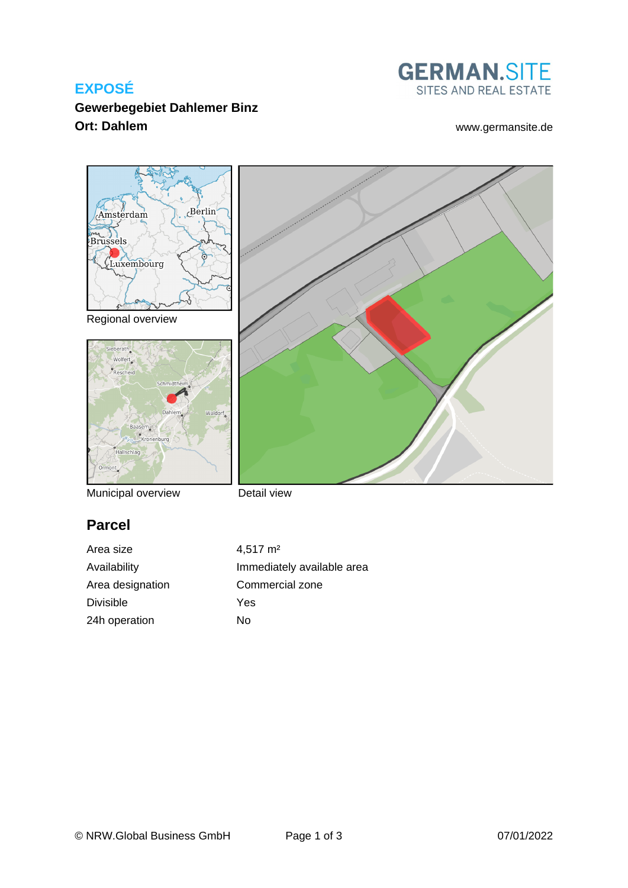# **EXPOSÉ**



**Gewerbegebiet Dahlemer Binz Ort: Dahlem** [www.germansite.de](http://www.germansite.de)



Municipal overview

Detail view

# **Parcel**

Area size 4,517 m<sup>2</sup> Area designation Commercial zone Divisible Yes 24h operation No

Availability **Immediately** available area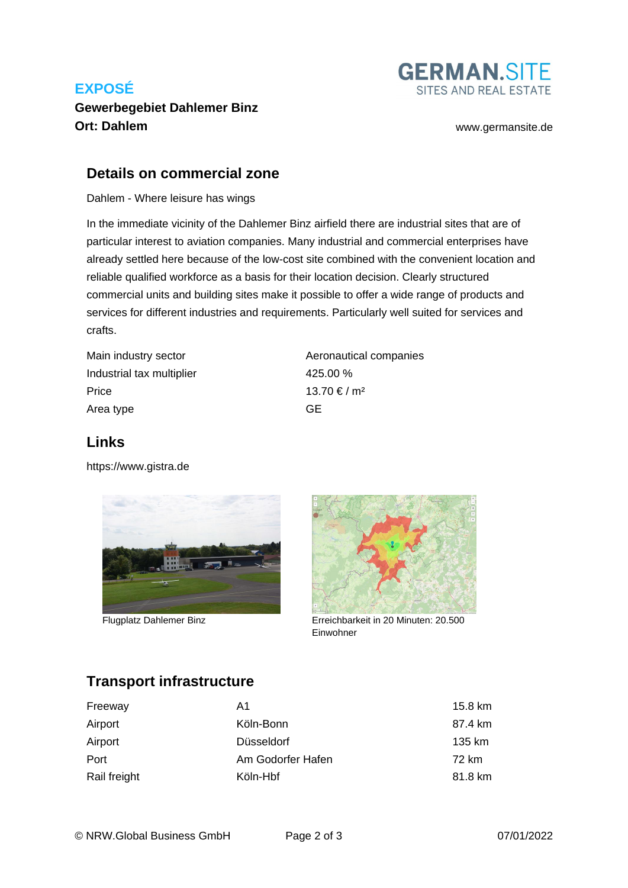# **EXPOSÉ**

## **Gewerbegebiet Dahlemer Binz Ort: Dahlem** [www.germansite.de](http://www.germansite.de)



#### **Details on commercial zone**

Dahlem - Where leisure has wings

In the immediate vicinity of the Dahlemer Binz airfield there are industrial sites that are of particular interest to aviation companies. Many industrial and commercial enterprises have already settled here because of the low-cost site combined with the convenient location and reliable qualified workforce as a basis for their location decision. Clearly structured commercial units and building sites make it possible to offer a wide range of products and services for different industries and requirements. Particularly well suited for services and crafts.

| Main industry sector      | Aeronautical companies |
|---------------------------|------------------------|
| Industrial tax multiplier | 425.00 %               |
| Price                     | $13.70 \t{∈} / m2$     |
| Area type                 | GF.                    |

## **Links**

<https://www.gistra.de>



Flugplatz Dahlemer Binz



Erreichbarkeit in 20 Minuten: 20.500 Einwohner

# **Transport infrastructure**

| Freeway      | A1                | 15.8 km |
|--------------|-------------------|---------|
| Airport      | Köln-Bonn         | 87.4 km |
| Airport      | Düsseldorf        | 135 km  |
| Port         | Am Godorfer Hafen | 72 km   |
| Rail freight | Köln-Hbf          | 81.8 km |